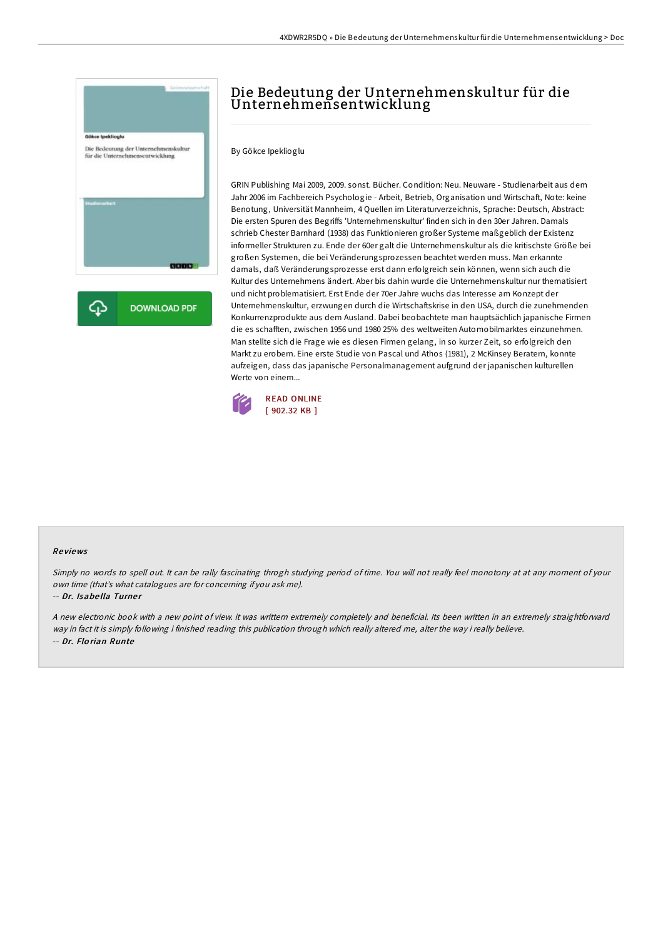

# Die Bedeutung der Unternehmenskultur für die Unternehmensentwicklung

By Gökce Ipeklioglu

GRIN Publishing Mai 2009, 2009. sonst. Bücher. Condition: Neu. Neuware - Studienarbeit aus dem Jahr 2006 im Fachbereich Psychologie - Arbeit, Betrieb, Organisation und Wirtschaft, Note: keine Benotung, Universität Mannheim, 4 Quellen im Literaturverzeichnis, Sprache: Deutsch, Abstract: Die ersten Spuren des Begriffs 'Unternehmenskultur' finden sich in den 30er Jahren. Damals schrieb Chester Barnhard (1938) das Funktionieren großer Systeme maßgeblich der Existenz informeller Strukturen zu. Ende der 60er galt die Unternehmenskultur als die kritischste Größe bei großen Systemen, die bei Veränderungsprozessen beachtet werden muss. Man erkannte damals, daß Veränderungsprozesse erst dann erfolgreich sein können, wenn sich auch die Kultur des Unternehmens ändert. Aber bis dahin wurde die Unternehmenskultur nur thematisiert und nicht problematisiert. Erst Ende der 70er Jahre wuchs das Interesse am Konzept der Unternehmenskultur, erzwungen durch die Wirtschaftskrise in den USA, durch die zunehmenden Konkurrenzprodukte aus dem Ausland. Dabei beobachtete man hauptsächlich japanische Firmen die es schafften, zwischen 1956 und 1980 25% des weltweiten Automobilmarktes einzunehmen. Man stellte sich die Frage wie es diesen Firmen gelang, in so kurzer Zeit, so erfolgreich den Markt zu erobern. Eine erste Studie von Pascal und Athos (1981), 2 McKinsey Beratern, konnte aufzeigen, dass das japanische Personalmanagement aufgrund der japanischen kulturellen Werte von einem...



#### Re views

Simply no words to spell out. It can be rally fascinating throgh studying period of time. You will not really feel monotony at at any moment of your own time (that's what catalogues are for concerning if you ask me).

#### -- Dr. Isabe lla Turne <sup>r</sup>

<sup>A</sup> new electronic book with <sup>a</sup> new point of view. it was writtern extremely completely and beneficial. Its been written in an extremely straightforward way in fact it is simply following i finished reading this publication through which really altered me, alter the way i really believe. -- Dr. Flo rian Runte